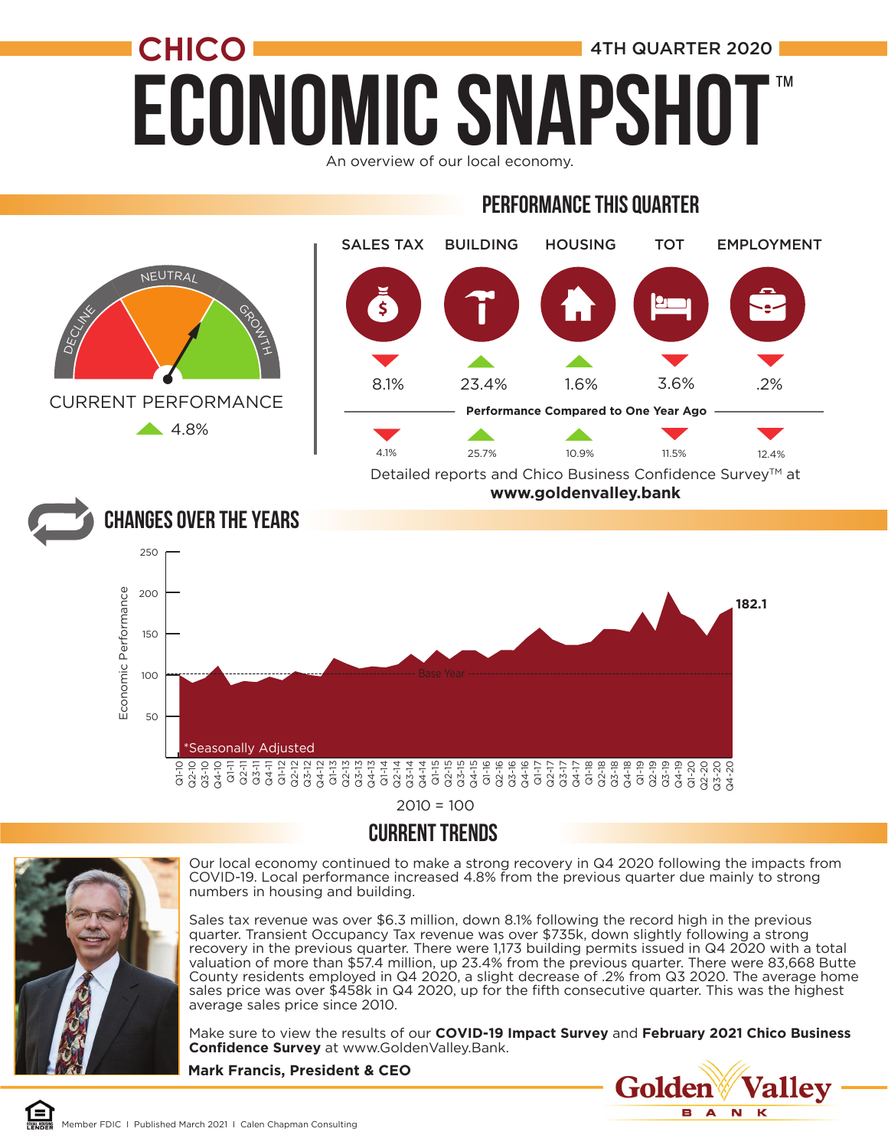## **ECONOMIC SNAPSH CHICO 1** 4TH QUARTER 2020 ™

An overview of our local economy.

#### Performance this quarter



 $2010 = 100$ 

#### CURRENT TRENDS



Our local economy continued to make a strong recovery in Q4 2020 following the impacts from COVID-19. Local performance increased 4.8% from the previous quarter due mainly to strong numbers in housing and building.

Sales tax revenue was over \$6.3 million, down 8.1% following the record high in the previous quarter. Transient Occupancy Tax revenue was over \$735k, down slightly following a strong recovery in the previous quarter. There were 1,173 building permits issued in Q4 2020 with a total valuation of more than \$57.4 million, up 23.4% from the previous quarter. There were 83,668 Butte County residents employed in Q4 2020, a slight decrease of .2% from Q3 2020. The average home sales price was over \$458k in Q4 2020, up for the fifth consecutive quarter. This was the highest average sales price since 2010.

Make sure to view the results of our **COVID-19 Impact Survey** and **February 2021 Chico Business Confidence Survey** at www.GoldenValley.Bank.

**Mark Francis, President & CEO**

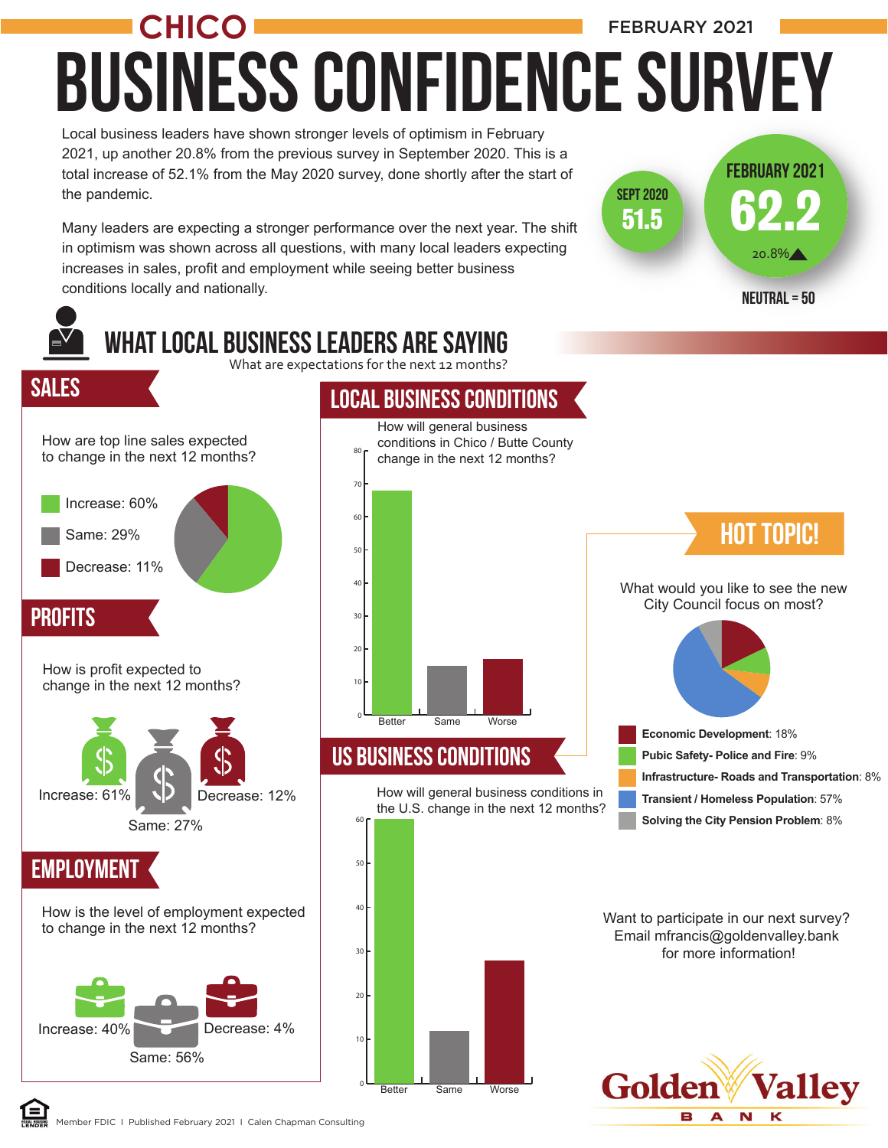Local business leaders have shown stronger levels of optimism in February Business COnfidence Survey **CHICO** FEBRUARY 2021

62.2

20.8%

51.5

Sept 2020

February 2021

2021, up another 20.8% from the previous survey in September 2020. This is a total increase of 52.1% from the May 2020 survey, done shortly after the start of the pandemic.

Many leaders are expecting a stronger performance over the next year. The shift in optimism was shown across all questions, with many local leaders expecting increases in sales, profit and employment while seeing better business conditions locally and nationally.

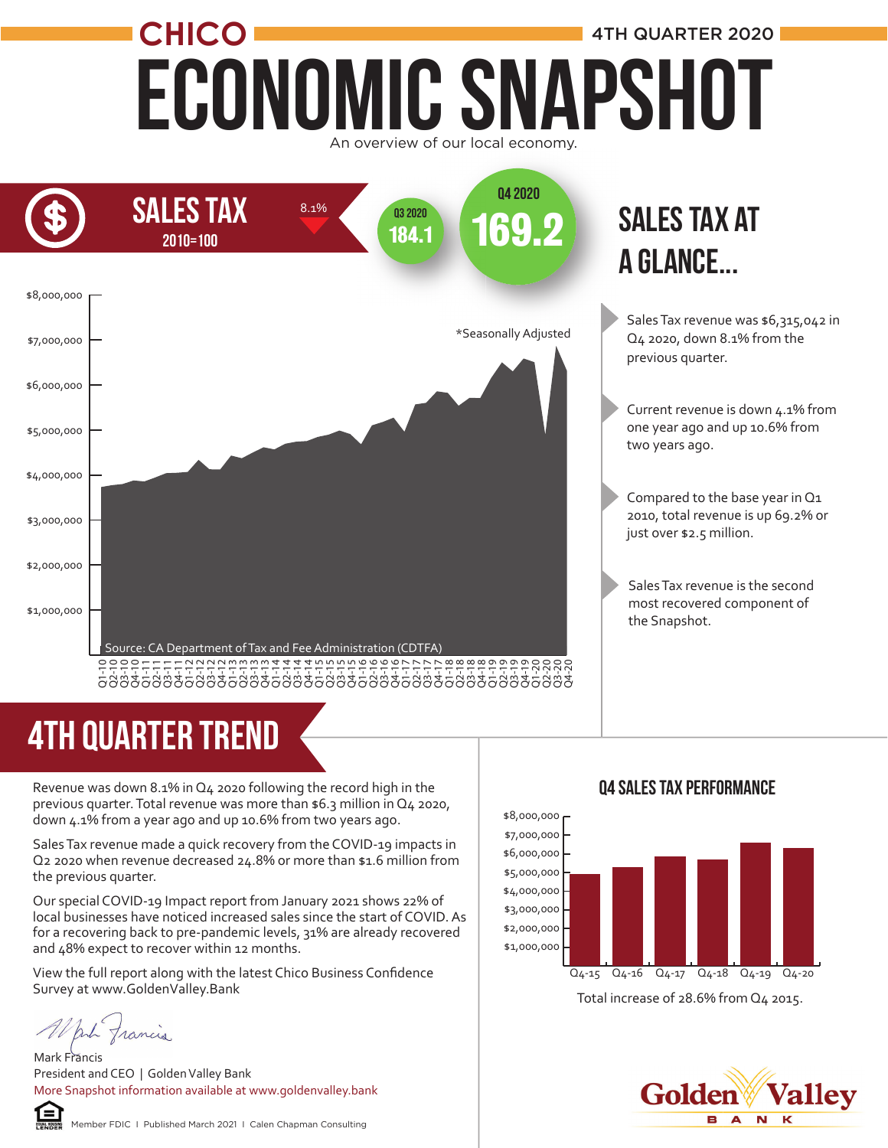#### Economic Snapshot **CHICO** An overview of our local economy. 4TH QUARTER 2020



#### sales tax at a glance...

Sales Tax revenue was \$6,315,042 in Q4 2020, down 8.1% from the previous quarter.

- Current revenue is down 4.1% from one year ago and up 10.6% from two years ago.
- Compared to the base year in Q1 2010, total revenue is up 69.2% or just over \$2.5 million.
- Sales Tax revenue is the second most recovered component of the Snapshot.

## 4TH quarter trend

Revenue was down 8.1% in Q4 2020 following the record high in the previous quarter. Total revenue was more than \$6.3 million in Q4 2020, down 4.1% from a year ago and up 10.6% from two years ago.

Sales Tax revenue made a quick recovery from the COVID-19 impacts in Q2 2020 when revenue decreased 24.8% or more than \$1.6 million from the previous quarter.

Our special COVID-19 Impact report from January 2021 shows 22% of local businesses have noticed increased sales since the start of COVID. As for a recovering back to pre-pandemic levels, 31% are already recovered and 48% expect to recover within 12 months.

View the full report along with the latest Chico Business Confidence Survey at www.GoldenValley.Bank

Anh francis

Mark Francis President and CEO | Golden Valley Bank More Snapshot information available at www.goldenvalley.bank







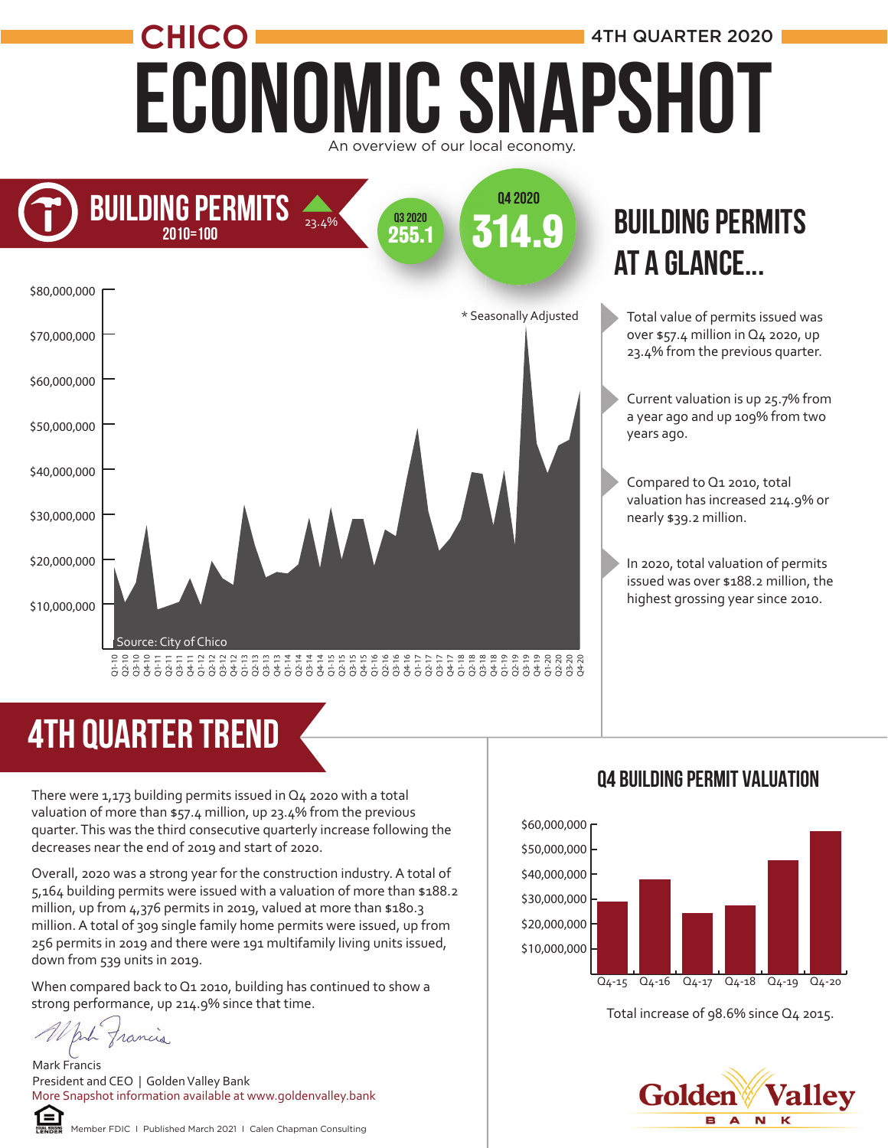### Economic Snapshot **CHICO 1** 4TH QUARTER 2020 An overview of our local economy.



# 4TH quarter trend

There were 1,173 building permits issued in Q4 2020 with a total valuation of more than \$57.4 million, up 23.4% from the previous quarter. This was the third consecutive quarterly increase following the decreases near the end of 2019 and start of 2020.

Overall, 2020 was a strong year for the construction industry. A total of 5,164 building permits were issued with a valuation of more than \$188.2 million, up from 4,376 permits in 2019, valued at more than \$180.3 million. A total of 309 single family home permits were issued, up from 256 permits in 2019 and there were 191 multifamily living units issued, down from 539 units in 2019.

When compared back to Q1 2010, building has continued to show a strong performance, up 214.9% since that time.

put francis

Mark Francis President and CEO | Golden Valley Bank More Snapshot information available at www.goldenvalley.bank



Member FDIC I Published March 2021 I Calen Chapman Consulting

### **BUILDING PERMITS** at a glance...

- Total value of permits issued was over \$57.4 million in Q4 2020, up 23.4% from the previous quarter.
- Current valuation is up 25.7% from a year ago and up 109% from two years ago.
- Compared to Q1 2010, total valuation has increased 214.9% or nearly \$39.2 million.
- In 2020, total valuation of permits issued was over \$188.2 million, the highest grossing year since 2010.





Total increase of 98.6% since Q4 2015.

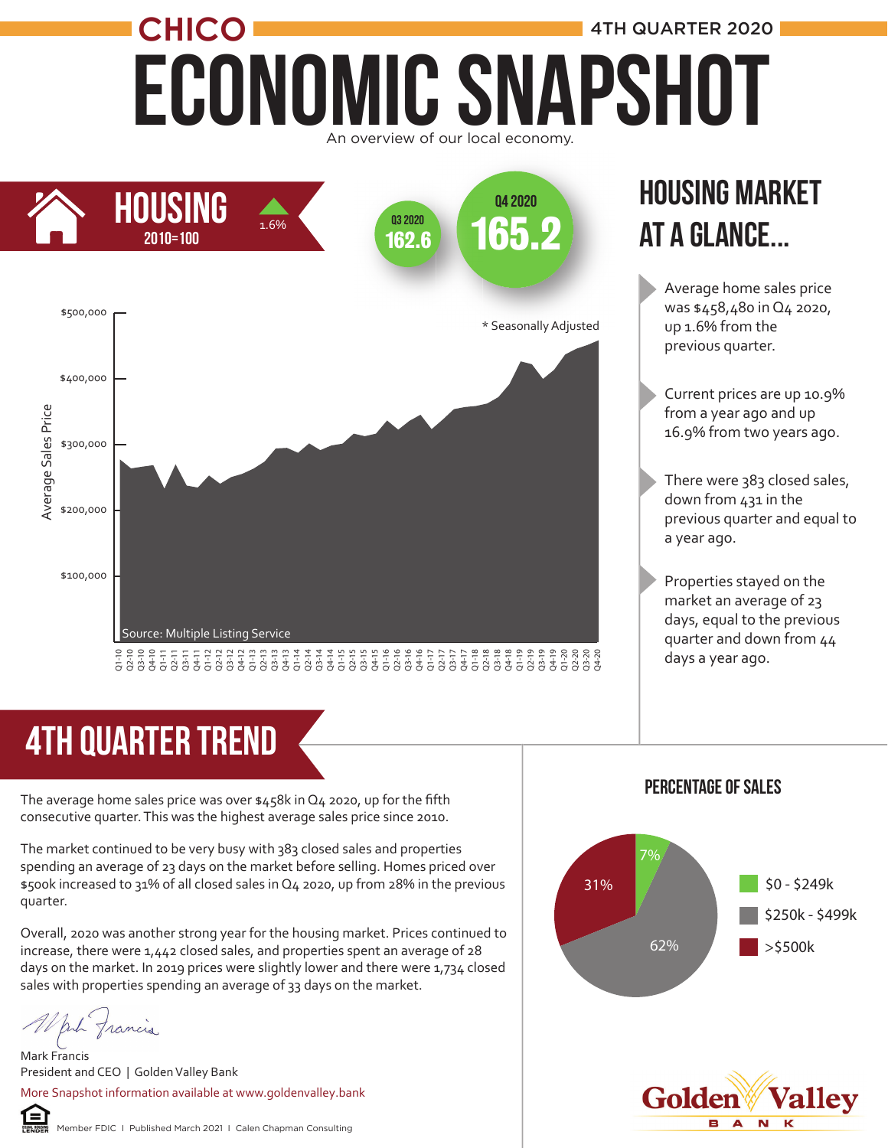## ECONOMIC SNAPSHOT **CHICO 1** 4TH QUARTER 2020 An overview of our local economy.



#### Housing market at a glance...

Average home sales price was \$458,480 in Q4 2020, up 1.6% from the previous quarter.

- Current prices are up 10.9% from a year ago and up 16.9% from two years ago.
- There were 383 closed sales, down from 431 in the previous quarter and equal to a year ago.
- Properties stayed on the market an average of 23 days, equal to the previous quarter and down from 44 days a year ago.

## 4Th quarter trend

The average home sales price was over \$458k in Q4 2020, up for the fifth consecutive quarter. This was the highest average sales price since 2010.

The market continued to be very busy with 383 closed sales and properties spending an average of 23 days on the market before selling. Homes priced over \$500k increased to 31% of all closed sales in Q4 2020, up from 28% in the previous quarter.

Overall, 2020 was another strong year for the housing market. Prices continued to increase, there were 1,442 closed sales, and properties spent an average of 28 days on the market. In 2019 prices were slightly lower and there were 1,734 closed sales with properties spending an average of 33 days on the market.

put francis

Mark Francis President and CEO | Golden Valley Bank More Snapshot information available at www.goldenvalley.bank







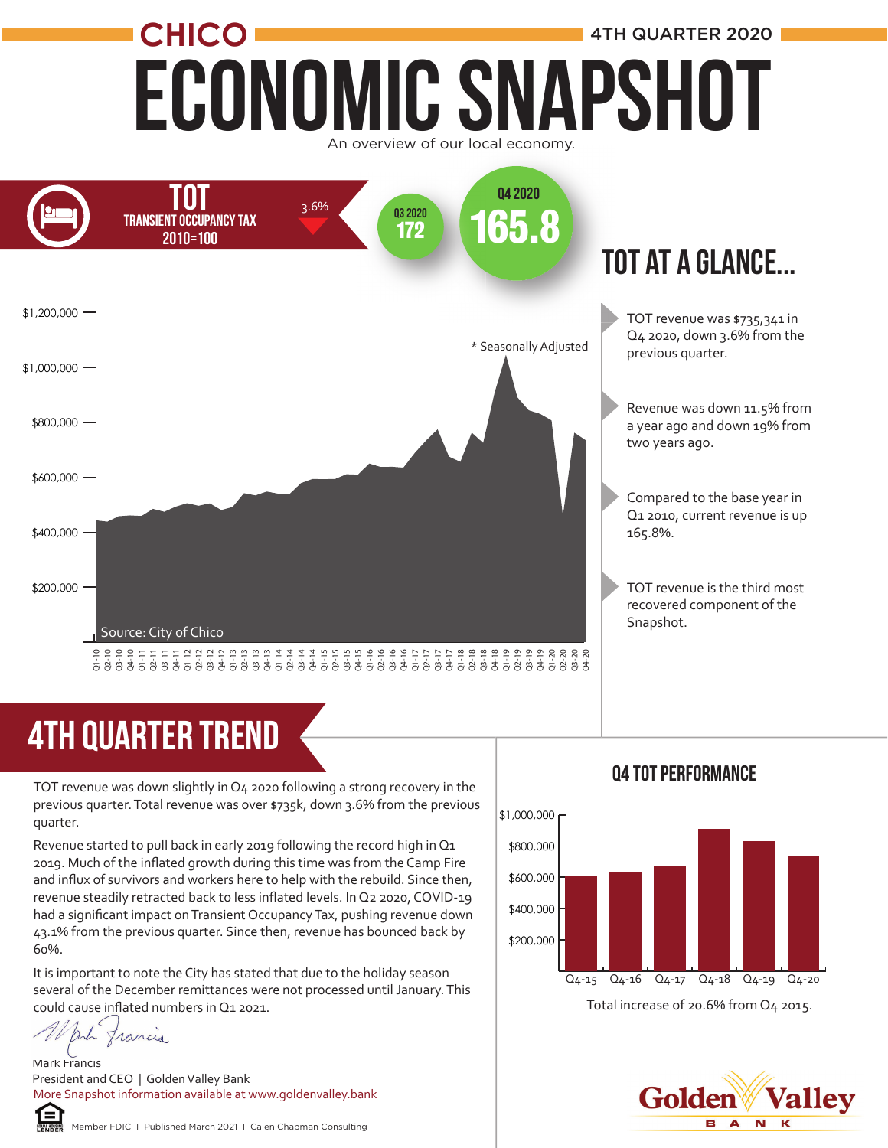

## 4TH quarter trend

TOT revenue was down slightly in Q4 2020 following a strong recovery in the previous quarter. Total revenue was over \$735k, down 3.6% from the previous quarter.

Revenue started to pull back in early 2019 following the record high in Q1 2019. Much of the inflated growth during this time was from the Camp Fire and influx of survivors and workers here to help with the rebuild. Since then, revenue steadily retracted back to less inflated levels. In Q2 2020, COVID-19 had a significant impact on Transient Occupancy Tax, pushing revenue down 43.1% from the previous quarter. Since then, revenue has bounced back by 60%.

It is important to note the City has stated that due to the holiday season several of the December remittances were not processed until January. This could cause inflated numbers in Q1 2021.

put francis

Mark Francis President and CEO | Golden Valley Bank More Snapshot information available at www.goldenvalley.bank





Q4 tot Performance